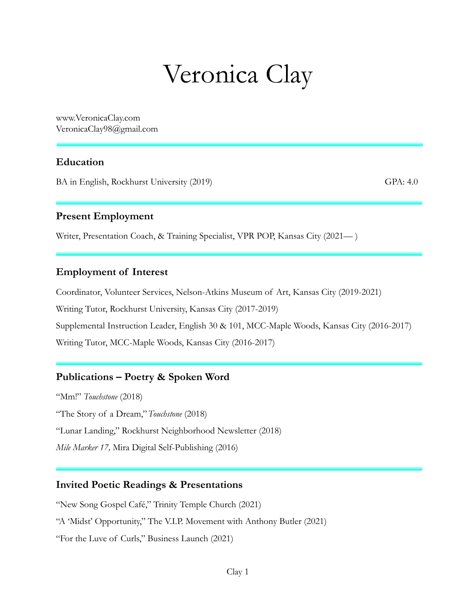# Veronica Clay

www.VeronicaClay.com VeronicaClay98@gmail.com

## **Education**

BA in English, Rockhurst University (2019) GPA: 4.0

#### **Present Employment**

Writer, Presentation Coach, & Training Specialist, VPR POP, Kansas City (2021— )

#### **Employment of Interest**

Coordinator, Volunteer Services, Nelson-Atkins Museum of Art, Kansas City (2019-2021) Writing Tutor, Rockhurst University, Kansas City (2017-2019) Supplemental Instruction Leader, English 30 & 101, MCC-Maple Woods, Kansas City (2016-2017) Writing Tutor, MCC-Maple Woods, Kansas City (2016-2017)

# **Publications – Poetry & Spoken Word**

"Mm!" *Touchstone* (2018) "The Story of a Dream,"*Touchstone* (2018) "Lunar Landing," Rockhurst Neighborhood Newsletter (2018) *Mile Marker 17,* Mira Digital Self-Publishing (2016)

# **Invited Poetic Readings & Presentations**

"New Song Gospel Café," Trinity Temple Church (2021) "A 'Midst' Opportunity," The V.I.P. Movement with Anthony Butler (2021) "For the Luve of Curls," Business Launch (2021)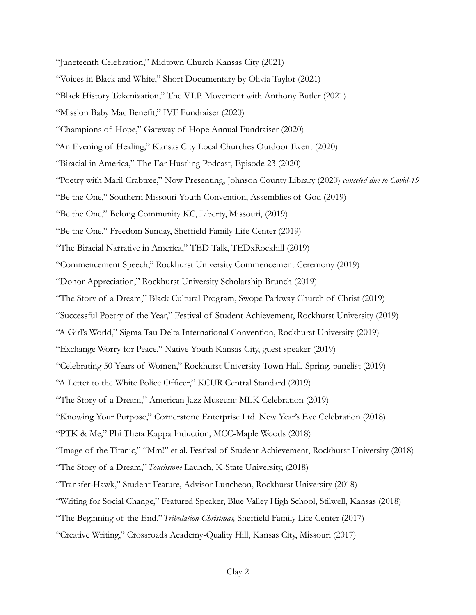- "Juneteenth Celebration," Midtown Church Kansas City (2021)
- "Voices in Black and White," Short Documentary by Olivia Taylor (2021)
- "Black History Tokenization," The V.I.P. Movement with Anthony Butler (2021)
- "Mission Baby Mac Benefit," IVF Fundraiser (2020)
- "Champions of Hope," Gateway of Hope Annual Fundraiser (2020)
- "An Evening of Healing," Kansas City Local Churches Outdoor Event (2020)
- "Biracial in America," The Ear Hustling Podcast, Episode 23 (2020)
- "Poetry with Maril Crabtree," Now Presenting, Johnson County Library (2020) *canceled due to Covid-19*
- "Be the One," Southern Missouri Youth Convention, Assemblies of God (2019)
- "Be the One," Belong Community KC, Liberty, Missouri, (2019)
- "Be the One," Freedom Sunday, Sheffield Family Life Center (2019)
- "The Biracial Narrative in America," TED Talk, TEDxRockhill (2019)
- "Commencement Speech," Rockhurst University Commencement Ceremony (2019)
- "Donor Appreciation," Rockhurst University Scholarship Brunch (2019)
- "The Story of a Dream," Black Cultural Program, Swope Parkway Church of Christ (2019)
- "Successful Poetry of the Year," Festival of Student Achievement, Rockhurst University (2019)
- "A Girl's World," Sigma Tau Delta International Convention, Rockhurst University (2019)
- "Exchange Worry for Peace," Native Youth Kansas City, guest speaker (2019)
- "Celebrating 50 Years of Women," Rockhurst University Town Hall, Spring, panelist (2019)
- "A Letter to the White Police Officer," KCUR Central Standard (2019)
- "The Story of a Dream," American Jazz Museum: MLK Celebration (2019)
- "Knowing Your Purpose," Cornerstone Enterprise Ltd. New Year's Eve Celebration (2018)
- "PTK & Me," Phi Theta Kappa Induction, MCC-Maple Woods (2018)
- "Image of the Titanic," "Mm!" et al. Festival of Student Achievement, Rockhurst University (2018)
- "The Story of a Dream,"*Touchstone* Launch, K-State University, (2018)
- "Transfer-Hawk," Student Feature, Advisor Luncheon, Rockhurst University (2018)
- "Writing for Social Change," Featured Speaker, Blue Valley High School, Stilwell, Kansas (2018)
- "The Beginning of the End,"*Tribulation Christmas,* Sheffield Family Life Center (2017)
- "Creative Writing," Crossroads Academy-Quality Hill, Kansas City, Missouri (2017)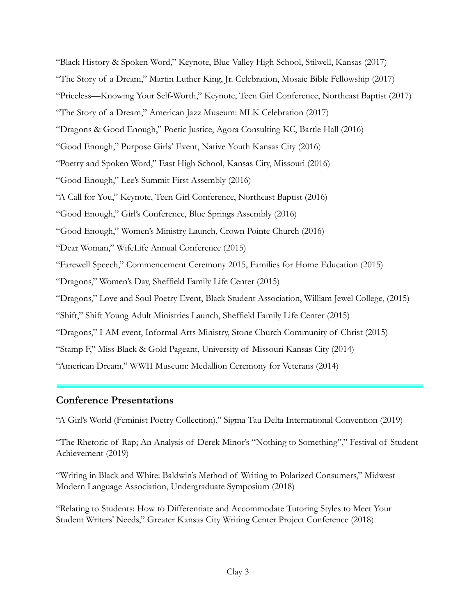"Black History & Spoken Word," Keynote, Blue Valley High School, Stilwell, Kansas (2017) "The Story of a Dream," Martin Luther King, Jr. Celebration, Mosaic Bible Fellowship (2017) "Priceless—Knowing Your Self-Worth," Keynote, Teen Girl Conference, Northeast Baptist (2017) "The Story of a Dream," American Jazz Museum: MLK Celebration (2017) "Dragons & Good Enough," Poetic Justice, Agora Consulting KC, Bartle Hall (2016) "Good Enough," Purpose Girls' Event, Native Youth Kansas City (2016) "Poetry and Spoken Word," East High School, Kansas City, Missouri (2016) "Good Enough," Lee's Summit First Assembly (2016) "A Call for You," Keynote, Teen Girl Conference, Northeast Baptist (2016) "Good Enough," Girl's Conference, Blue Springs Assembly (2016) "Good Enough," Women's Ministry Launch, Crown Pointe Church (2016) "Dear Woman," WifeLife Annual Conference (2015) "Farewell Speech," Commencement Ceremony 2015, Families for Home Education (2015) "Dragons," Women's Day, Sheffield Family Life Center (2015) "Dragons," Love and Soul Poetry Event, Black Student Association, William Jewel College, (2015) "Shift," Shift Young Adult Ministries Launch, Sheffield Family Life Center (2015) "Dragons," I AM event, Informal Arts Ministry, Stone Church Community of Christ (2015) "Stamp F," Miss Black & Gold Pageant, University of Missouri Kansas City (2014) "American Dream," WWII Museum: Medallion Ceremony for Veterans (2014)

# **Conference Presentations**

"A Girl's World (Feminist Poetry Collection)," Sigma Tau Delta International Convention (2019)

"The Rhetoric of Rap; An Analysis of Derek Minor's "Nothing to Something"," Festival of Student Achievement (2019)

"Writing in Black and White: Baldwin's Method of Writing to Polarized Consumers," Midwest Modern Language Association, Undergraduate Symposium (2018)

"Relating to Students: How to Differentiate and Accommodate Tutoring Styles to Meet Your Student Writers' Needs," Greater Kansas City Writing Center Project Conference (2018)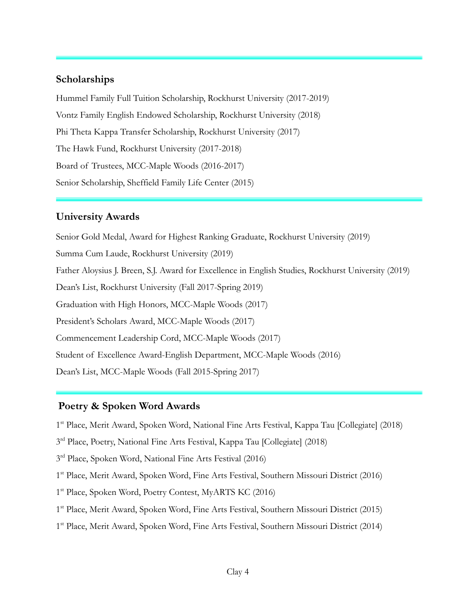## **Scholarships**

Hummel Family Full Tuition Scholarship, Rockhurst University (2017-2019) Vontz Family English Endowed Scholarship, Rockhurst University (2018) Phi Theta Kappa Transfer Scholarship, Rockhurst University (2017) The Hawk Fund, Rockhurst University (2017-2018) Board of Trustees, MCC-Maple Woods (2016-2017) Senior Scholarship, Sheffield Family Life Center (2015)

#### **University Awards**

Senior Gold Medal, Award for Highest Ranking Graduate, Rockhurst University (2019) Summa Cum Laude, Rockhurst University (2019) Father Aloysius J. Breen, S.J. Award for Excellence in English Studies, Rockhurst University (2019) Dean's List, Rockhurst University (Fall 2017-Spring 2019) Graduation with High Honors, MCC-Maple Woods (2017) President's Scholars Award, MCC-Maple Woods (2017) Commencement Leadership Cord, MCC-Maple Woods (2017) Student of Excellence Award-English Department, MCC-Maple Woods (2016) Dean's List, MCC-Maple Woods (Fall 2015-Spring 2017)

#### **Poetry & Spoken Word Awards**

1<sup>st</sup> Place, Merit Award, Spoken Word, National Fine Arts Festival, Kappa Tau [Collegiate] (2018)

3<sup>rd</sup> Place, Poetry, National Fine Arts Festival, Kappa Tau [Collegiate] (2018)

3<sup>rd</sup> Place, Spoken Word, National Fine Arts Festival (2016)

1<sup>st</sup> Place, Merit Award, Spoken Word, Fine Arts Festival, Southern Missouri District (2016)

1<sup>st</sup> Place, Spoken Word, Poetry Contest, MyARTS KC (2016)

1<sup>st</sup> Place, Merit Award, Spoken Word, Fine Arts Festival, Southern Missouri District (2015)

1<sup>st</sup> Place, Merit Award, Spoken Word, Fine Arts Festival, Southern Missouri District (2014)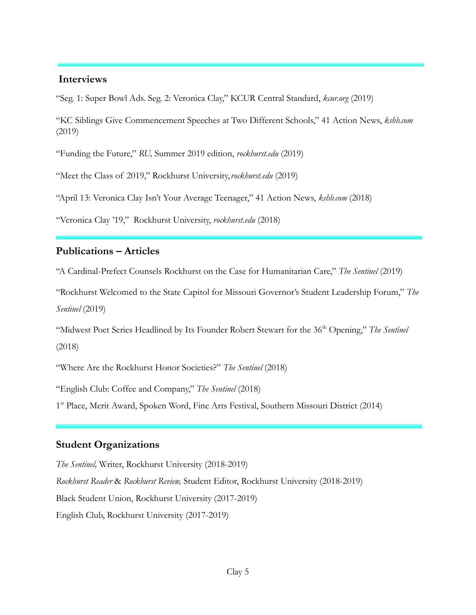#### **Interviews**

"Seg. 1: Super Bowl Ads. Seg. 2: Veronica Clay," KCUR Central Standard, *kcur.org* (2019)

"KC Siblings Give Commencement Speeches at Two Different Schools," 41 Action News, *kshb.com* (2019)

"Funding the Future," *RU,* Summer 2019 edition, *rockhurst.edu* (2019)

"Meet the Class of 2019," Rockhurst University,*rockhurst.edu* (2019)

"April 13: Veronica Clay Isn't Your Average Teenager," 41 Action News, *kshb.com* (2018)

"Veronica Clay '19," Rockhurst University, *rockhurst.edu* (2018)

#### **Publications – Articles**

"A Cardinal-Prefect Counsels Rockhurst on the Case for Humanitarian Care," *The Sentinel* (2019)

"Rockhurst Welcomed to the State Capitol for Missouri Governor's Student Leadership Forum," *The Sentinel* (2019)

"Midwest Poet Series Headlined by Its Founder Robert Stewart for the 36th Opening," *The Sentinel* (2018)

"Where Are the Rockhurst Honor Societies?" *The Sentinel* (2018)

"English Club: Coffee and Company," *The Sentinel* (2018)

1<sup>st</sup> Place, Merit Award, Spoken Word, Fine Arts Festival, Southern Missouri District (2014)

## **Student Organizations**

*The Sentinel,* Writer, Rockhurst University (2018-2019) *Rockhurst Reader* & *Rockhurst Review,* Student Editor, Rockhurst University (2018-2019) Black Student Union, Rockhurst University (2017-2019) English Club, Rockhurst University (2017-2019)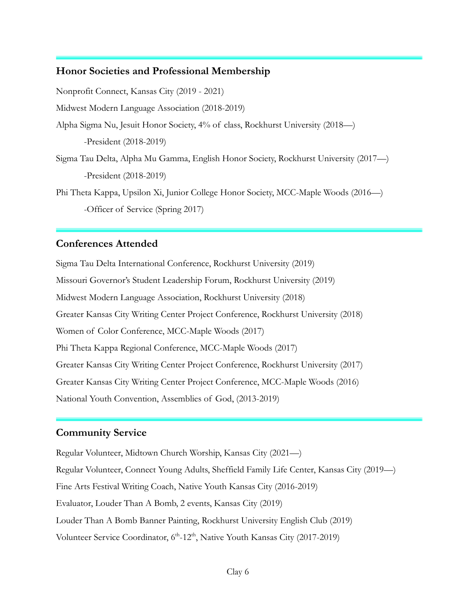#### **Honor Societies and Professional Membership**

Nonprofit Connect, Kansas City (2019 - 2021) Midwest Modern Language Association (2018-2019) Alpha Sigma Nu, Jesuit Honor Society, 4% of class, Rockhurst University (2018—) -President (2018-2019) Sigma Tau Delta, Alpha Mu Gamma, English Honor Society, Rockhurst University (2017—) -President (2018-2019) Phi Theta Kappa, Upsilon Xi, Junior College Honor Society, MCC-Maple Woods (2016—) -Officer of Service (Spring 2017)

#### **Conferences Attended**

Sigma Tau Delta International Conference, Rockhurst University (2019) Missouri Governor's Student Leadership Forum, Rockhurst University (2019) Midwest Modern Language Association, Rockhurst University (2018) Greater Kansas City Writing Center Project Conference, Rockhurst University (2018) Women of Color Conference, MCC-Maple Woods (2017) Phi Theta Kappa Regional Conference, MCC-Maple Woods (2017) Greater Kansas City Writing Center Project Conference, Rockhurst University (2017) Greater Kansas City Writing Center Project Conference, MCC-Maple Woods (2016) National Youth Convention, Assemblies of God, (2013-2019)

## **Community Service**

Regular Volunteer, Midtown Church Worship, Kansas City (2021—) Regular Volunteer, Connect Young Adults, Sheffield Family Life Center, Kansas City (2019—) Fine Arts Festival Writing Coach, Native Youth Kansas City (2016-2019) Evaluator, Louder Than A Bomb, 2 events, Kansas City (2019) Louder Than A Bomb Banner Painting, Rockhurst University English Club (2019) Volunteer Service Coordinator, 6<sup>th</sup>-12<sup>th</sup>, Native Youth Kansas City (2017-2019)